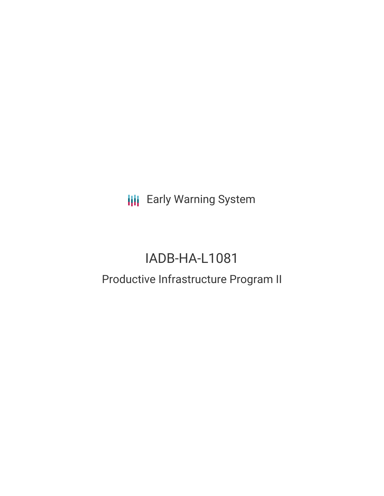**III** Early Warning System

# IADB-HA-L1081

## Productive Infrastructure Program II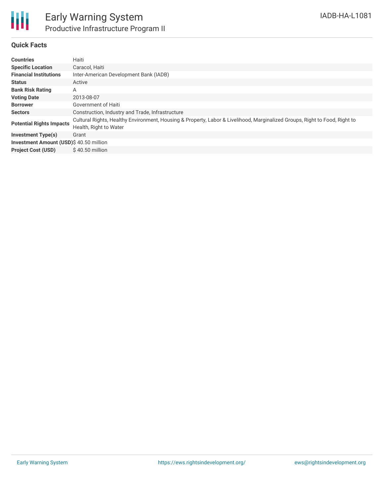

### **Quick Facts**

| <b>Countries</b>                       | Haiti                                                                                                                                                |
|----------------------------------------|------------------------------------------------------------------------------------------------------------------------------------------------------|
| <b>Specific Location</b>               | Caracol, Haiti                                                                                                                                       |
| <b>Financial Institutions</b>          | Inter-American Development Bank (IADB)                                                                                                               |
| <b>Status</b>                          | Active                                                                                                                                               |
| <b>Bank Risk Rating</b>                | А                                                                                                                                                    |
| <b>Voting Date</b>                     | 2013-08-07                                                                                                                                           |
| <b>Borrower</b>                        | Government of Haiti                                                                                                                                  |
| <b>Sectors</b>                         | Construction, Industry and Trade, Infrastructure                                                                                                     |
| <b>Potential Rights Impacts</b>        | Cultural Rights, Healthy Environment, Housing & Property, Labor & Livelihood, Marginalized Groups, Right to Food, Right to<br>Health, Right to Water |
| Investment Type(s)                     | Grant                                                                                                                                                |
| Investment Amount (USD)\$40.50 million |                                                                                                                                                      |
| <b>Project Cost (USD)</b>              | $$40.50$ million                                                                                                                                     |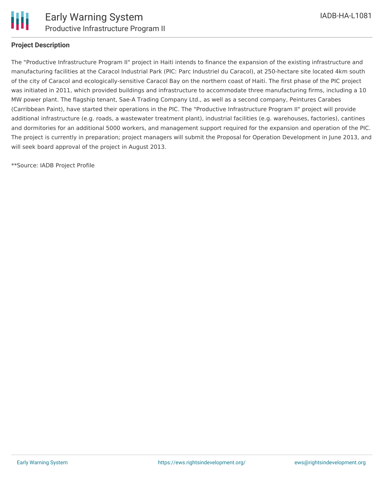

#### **Project Description**

The "Productive Infrastructure Program II" project in Haiti intends to finance the expansion of the existing infrastructure and manufacturing facilities at the Caracol Industrial Park (PIC: Parc Industriel du Caracol), at 250-hectare site located 4km south of the city of Caracol and ecologically-sensitive Caracol Bay on the northern coast of Haiti. The first phase of the PIC project was initiated in 2011, which provided buildings and infrastructure to accommodate three manufacturing firms, including a 10 MW power plant. The flagship tenant, Sae-A Trading Company Ltd., as well as a second company, Peintures Carabes (Carribbean Paint), have started their operations in the PIC. The "Productive Infrastructure Program II" project will provide additional infrastructure (e.g. roads, a wastewater treatment plant), industrial facilities (e.g. warehouses, factories), cantines and dormitories for an additional 5000 workers, and management support required for the expansion and operation of the PIC. The project is currently in preparation; project managers will submit the Proposal for Operation Development in June 2013, and will seek board approval of the project in August 2013.

\*\*Source: IADB Project Profile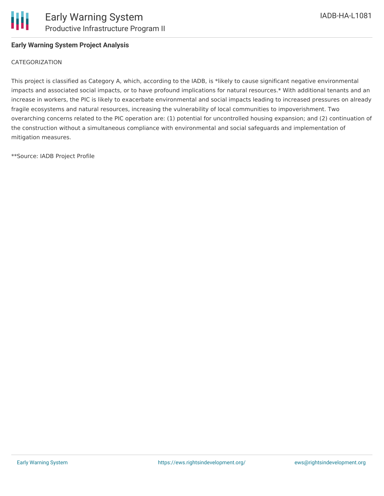

#### **Early Warning System Project Analysis**

#### CATEGORIZATION

This project is classified as Category A, which, according to the IADB, is \*likely to cause significant negative environmental impacts and associated social impacts, or to have profound implications for natural resources.\* With additional tenants and an increase in workers, the PIC is likely to exacerbate environmental and social impacts leading to increased pressures on already fragile ecosystems and natural resources, increasing the vulnerability of local communities to impoverishment. Two overarching concerns related to the PIC operation are: (1) potential for uncontrolled housing expansion; and (2) continuation of the construction without a simultaneous compliance with environmental and social safeguards and implementation of mitigation measures.

\*\*Source: IADB Project Profile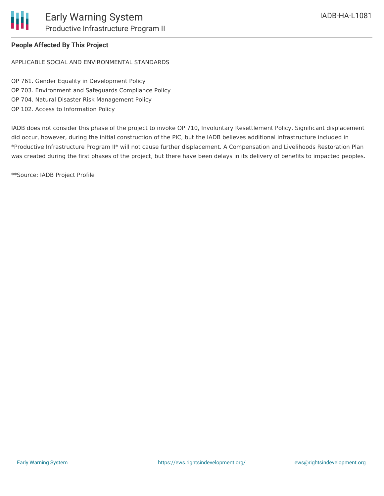

## **People Affected By This Project**

APPLICABLE SOCIAL AND ENVIRONMENTAL STANDARDS

OP 761. Gender Equality in Development Policy OP 703. Environment and Safeguards Compliance Policy OP 704. Natural Disaster Risk Management Policy OP 102. Access to Information Policy

IADB does not consider this phase of the project to invoke OP 710, Involuntary Resettlement Policy. Significant displacement did occur, however, during the initial construction of the PIC, but the IADB believes additional infrastructure included in \*Productive Infrastructure Program II\* will not cause further displacement. A Compensation and Livelihoods Restoration Plan was created during the first phases of the project, but there have been delays in its delivery of benefits to impacted peoples.

\*\*Source: IADB Project Profile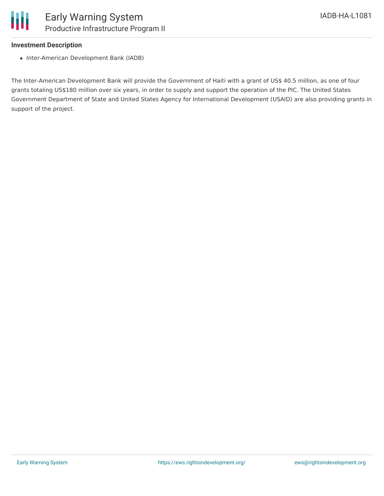#### **Investment Description**

• Inter-American Development Bank (IADB)

The Inter-American Development Bank will provide the Government of Haiti with a grant of US\$ 40.5 million, as one of four grants totaling US\$180 million over six years, in order to supply and support the operation of the PIC. The United States Government Department of State and United States Agency for International Development (USAID) are also providing grants in support of the project.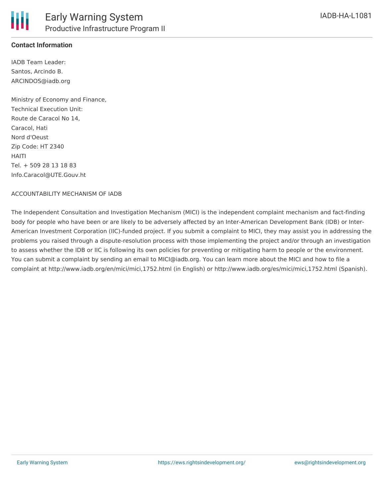

### **Contact Information**

IADB Team Leader: Santos, Arcindo B. ARCINDOS@iadb.org

Ministry of Economy and Finance, Technical Execution Unit: Route de Caracol No 14, Caracol, Hati Nord d'Oeust Zip Code: HT 2340 HAITI Tel. + 509 28 13 18 83 Info.Caracol@UTE.Gouv.ht

#### ACCOUNTABILITY MECHANISM OF IADB

The Independent Consultation and Investigation Mechanism (MICI) is the independent complaint mechanism and fact-finding body for people who have been or are likely to be adversely affected by an Inter-American Development Bank (IDB) or Inter-American Investment Corporation (IIC)-funded project. If you submit a complaint to MICI, they may assist you in addressing the problems you raised through a dispute-resolution process with those implementing the project and/or through an investigation to assess whether the IDB or IIC is following its own policies for preventing or mitigating harm to people or the environment. You can submit a complaint by sending an email to MICI@iadb.org. You can learn more about the MICI and how to file a complaint at http://www.iadb.org/en/mici/mici,1752.html (in English) or http://www.iadb.org/es/mici/mici,1752.html (Spanish).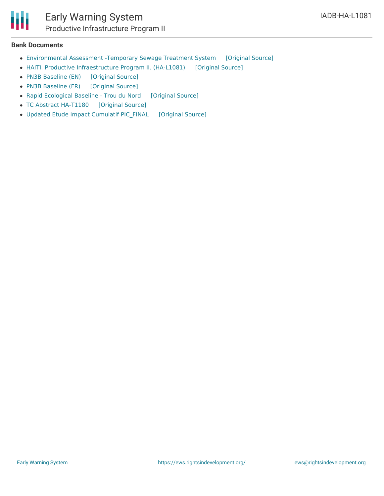## **Bank Documents**

- [Environmental](https://ewsdata.rightsindevelopment.org/files/documents/81/IADB-HA-L1081_McIKXMS.pdf) Assessment -Temporary Sewage Treatment System [\[Original](http://www.iadb.org/Document.cfm?id=38557908) Source]
- HAITI. Productive [Infraestructure](https://ewsdata.rightsindevelopment.org/files/documents/81/IADB-HA-L1081.pdf) Program II. (HA-L1081) [\[Original](http://www.iadb.org/Document.cfm?id=37754633) Source]
- PN3B [Baseline](https://ewsdata.rightsindevelopment.org/files/documents/81/IADB-HA-L1081_NpQN2TF.pdf) (EN) [\[Original](http://www.iadb.org/Document.cfm?id=40707195) Source]
- PN3B [Baseline](https://ewsdata.rightsindevelopment.org/files/documents/81/IADB-HA-L1081_R0lYdtX.pdf) (FR) [\[Original](http://www.iadb.org/Document.cfm?id=40707573) Source]
- Rapid [Ecological](https://ewsdata.rightsindevelopment.org/files/documents/81/IADB-HA-L1081_AVgftYX.pdf) Baseline Trou du Nord [\[Original](http://www.iadb.org/Document.cfm?id=38957723) Source]
- TC Abstract [HA-T1180](https://ewsdata.rightsindevelopment.org/files/documents/81/IADB-HA-L1081_OEWUTOW.pdf) [\[Original](http://www.iadb.org/Document.cfm?id=38601080) Source]
- Updated Etude Impact Cumulatif PIC FINAL [\[Original](http://www.iadb.org/Document.cfm?id=39970805) Source]